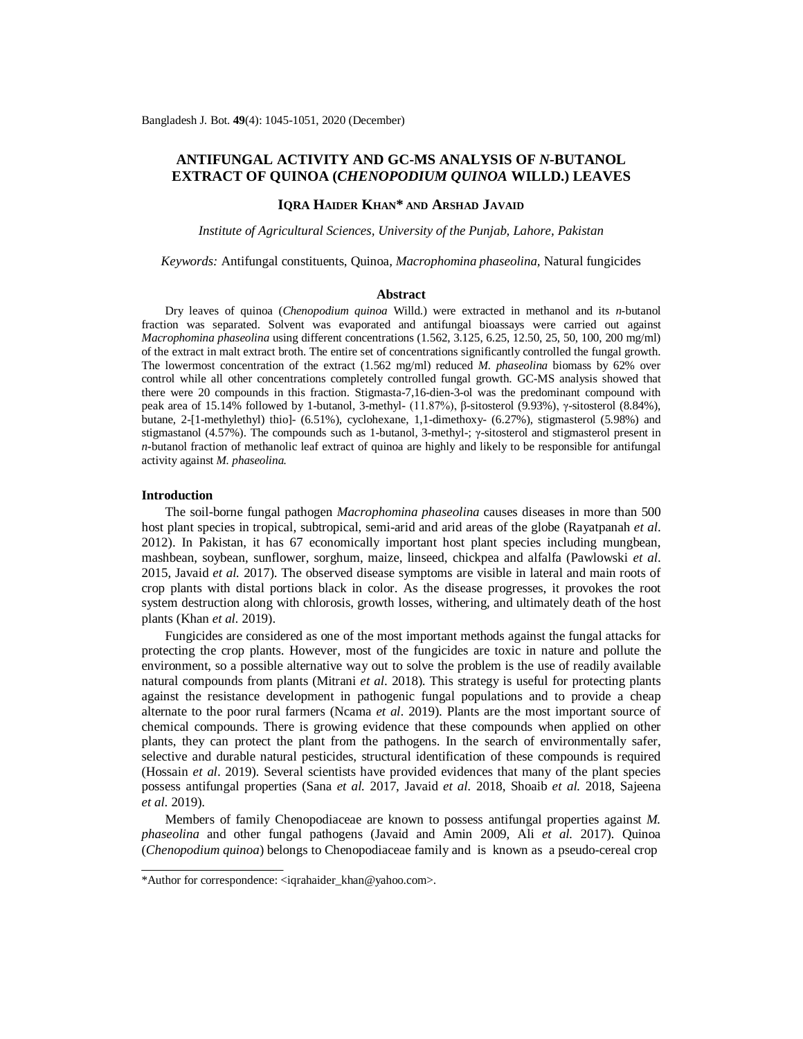# **ANTIFUNGAL ACTIVITY AND GC-MS ANALYSIS OF** *N-***BUTANOL EXTRACT OF QUINOA (***CHENOPODIUM QUINOA* **WILLD.) LEAVES**

## **IQRA HAIDER KHAN\* AND ARSHAD JAVAID**

*Institute of Agricultural Sciences, University of the Punjab, Lahore, Pakistan*

*Keywords:* Antifungal constituents, Quinoa*, Macrophomina phaseolina,* Natural fungicides

#### **Abstract**

Dry leaves of quinoa (*Chenopodium quinoa* Willd.) were extracted in methanol and its *n-*butanol fraction was separated. Solvent was evaporated and antifungal bioassays were carried out against *Macrophomina phaseolina* using different concentrations (1.562, 3.125, 6.25, 12.50, 25, 50, 100, 200 mg/ml) of the extract in malt extract broth. The entire set of concentrations significantly controlled the fungal growth. The lowermost concentration of the extract (1.562 mg/ml) reduced *M. phaseolina* biomass by 62% over control while all other concentrations completely controlled fungal growth. GC-MS analysis showed that there were 20 compounds in this fraction. Stigmasta-7,16-dien-3-ol was the predominant compound with peak area of 15.14% followed by 1-butanol, 3-methyl- (11.87%), β-sitosterol (9.93%), γ-sitosterol (8.84%), butane, 2-[1-methylethyl) thio]- (6.51%), cyclohexane, 1,1-dimethoxy- (6.27%), stigmasterol (5.98%) and stigmastanol (4.57%). The compounds such as 1-butanol, 3-methyl-; γ-sitosterol and stigmasterol present in *n-*butanol fraction of methanolic leaf extract of quinoa are highly and likely to be responsible for antifungal activity against *M. phaseolina.* 

#### **Introduction**

The soil-borne fungal pathogen *Macrophomina phaseolina* causes diseases in more than 500 host plant species in tropical, subtropical, semi-arid and arid areas of the globe (Rayatpanah *et al*. 2012). In Pakistan, it has 67 economically important host plant species including mungbean, mashbean, soybean, sunflower, sorghum, maize, linseed, chickpea and alfalfa (Pawlowski *et al*. 2015, Javaid *et al.* 2017). The observed disease symptoms are visible in lateral and main roots of crop plants with distal portions black in color. As the disease progresses, it provokes the root system destruction along with chlorosis, growth losses, withering, and ultimately death of the host plants (Khan *et al.* 2019).

Fungicides are considered as one of the most important methods against the fungal attacks for protecting the crop plants. However, most of the fungicides are toxic in nature and pollute the environment, so a possible alternative way out to solve the problem is the use of readily available natural compounds from plants (Mitrani *et al*. 2018). This strategy is useful for protecting plants against the resistance development in pathogenic fungal populations and to provide a cheap alternate to the poor rural farmers (Ncama *et al*. 2019). Plants are the most important source of chemical compounds. There is growing evidence that these compounds when applied on other plants, they can protect the plant from the pathogens. In the search of environmentally safer, selective and durable natural pesticides, structural identification of these compounds is required (Hossain *et al*. 2019). Several scientists have provided evidences that many of the plant species possess antifungal properties (Sana *et al.* 2017, Javaid *et al.* 2018, Shoaib *et al.* 2018, Sajeena *et al*. 2019).

Members of family Chenopodiaceae are known to possess antifungal properties against *M. phaseolina* and other fungal pathogens (Javaid and Amin 2009, Ali *et al.* 2017). Quinoa (*Chenopodium quinoa*) belongs to Chenopodiaceae family and is known as a pseudo-cereal crop

<sup>\*</sup>Author for correspondence: [<iqrahaider\\_khan@yahoo.com>](mailto:iqrahaider_khan@yahoo.com).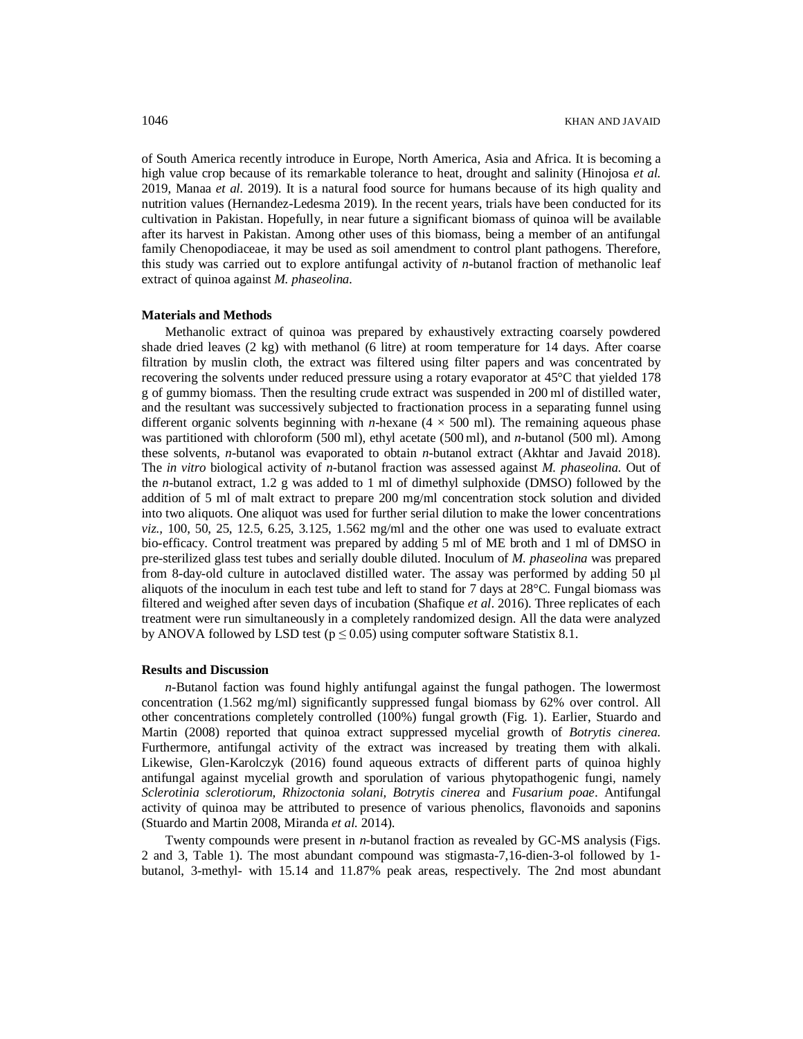of South America recently introduce in Europe, North America, Asia and Africa. It is becoming a high value crop because of its remarkable tolerance to heat, drought and salinity (Hinojosa *et al.* 2019, Manaa *et al.* 2019). It is a natural food source for humans because of its high quality and nutrition values (Hernandez-Ledesma 2019). In the recent years, trials have been conducted for its cultivation in Pakistan. Hopefully, in near future a significant biomass of quinoa will be available after its harvest in Pakistan. Among other uses of this biomass, being a member of an antifungal family Chenopodiaceae, it may be used as soil amendment to control plant pathogens. Therefore, this study was carried out to explore antifungal activity of *n-*butanol fraction of methanolic leaf extract of quinoa against *M. phaseolina.*

#### **Materials and Methods**

Methanolic extract of quinoa was prepared by exhaustively extracting coarsely powdered shade dried leaves  $(2 \text{ kg})$  with methanol  $(6 \text{ litre})$  at room temperature for 14 days. After coarse filtration by muslin cloth, the extract was filtered using filter papers and was concentrated by recovering the solvents under reduced pressure using a rotary evaporator at 45°C that yielded 178 g of gummy biomass. Then the resulting crude extract was suspended in 200 ml of distilled water, and the resultant was successively subjected to fractionation process in a separating funnel using different organic solvents beginning with *n*-hexane  $(4 \times 500 \text{ ml})$ . The remaining aqueous phase was partitioned with chloroform (500 ml), ethyl acetate (500 ml), and *n*-butanol (500 ml). Among these solvents, *n-*butanol was evaporated to obtain *n*-butanol extract (Akhtar and Javaid 2018). The *in vitro* biological activity of *n*-butanol fraction was assessed against *M. phaseolina*. Out of the *n*-butanol extract, 1.2 g was added to 1 ml of dimethyl sulphoxide (DMSO) followed by the addition of 5 ml of malt extract to prepare 200 mg/ml concentration stock solution and divided into two aliquots. One aliquot was used for further serial dilution to make the lower concentrations *viz.,* 100, 50, 25, 12.5, 6.25, 3.125, 1.562 mg/ml and the other one was used to evaluate extract bio-efficacy. Control treatment was prepared by adding 5 ml of ME broth and 1 ml of DMSO in pre-sterilized glass test tubes and serially double diluted. Inoculum of *M. phaseolina* was prepared from 8-day-old culture in autoclaved distilled water. The assay was performed by adding 50 µl aliquots of the inoculum in each test tube and left to stand for 7 days at 28°C. Fungal biomass was filtered and weighed after seven days of incubation (Shafique *et al*. 2016). Three replicates of each treatment were run simultaneously in a completely randomized design. All the data were analyzed by ANOVA followed by LSD test ( $p \le 0.05$ ) using computer software Statistix 8.1.

#### **Results and Discussion**

*n-*Butanol faction was found highly antifungal against the fungal pathogen. The lowermost concentration (1.562 mg/ml) significantly suppressed fungal biomass by 62% over control. All other concentrations completely controlled (100%) fungal growth (Fig. 1). Earlier, Stuardo and Martin (2008) reported that quinoa extract suppressed mycelial growth of *Botrytis cinerea.*  Furthermore, antifungal activity of the extract was increased by treating them with alkali. Likewise, Glen-Karolczyk (2016) found aqueous extracts of different parts of quinoa highly antifungal against mycelial growth and sporulation of various phytopathogenic fungi, namely *Sclerotinia sclerotiorum, Rhizoctonia solani, Botrytis cinerea* and *Fusarium poae*. Antifungal activity of quinoa may be attributed to presence of various phenolics, flavonoids and saponins (Stuardo and Martin 2008, Miranda *et al.* 2014).

Twenty compounds were present in *n-*butanol fraction as revealed by GC-MS analysis (Figs. 2 and 3, Table 1). The most abundant compound was stigmasta-7,16-dien-3-ol followed by 1 butanol, 3-methyl- with 15.14 and 11.87% peak areas, respectively. The 2nd most abundant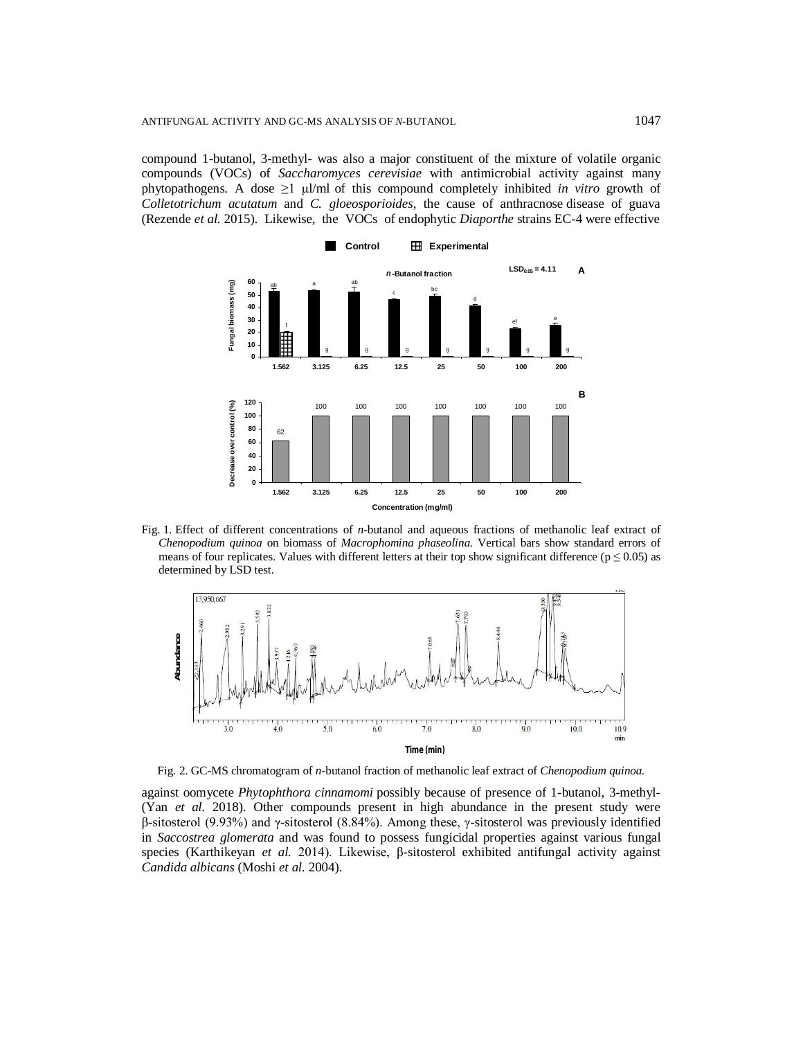compound 1-butanol, 3-methyl- was also a major constituent of the mixture of volatile organic compounds (VOCs) of *Saccharomyces cerevisiae* with antimicrobial activity against many phytopathogens. A dose  $\geq$ 1  $\mu$ l/ml of this compound completely inhibited *in vitro* growth of *Colletotrichum acutatum* and *C. gloeosporioides*, the cause of anthracnose disease of guava (Rezende *et al.* 2015). Likewise, the VOCs of endophytic *Diaporthe* strains EC-4 were effective



Fig. 1. Effect of different concentrations of *n-*butanol and aqueous fractions of methanolic leaf extract of *Chenopodium quinoa* on biomass of *Macrophomina phaseolina.* Vertical bars show standard errors of means of four replicates. Values with different letters at their top show significant difference ( $p \le 0.05$ ) as determined by LSD test.



Fig. 2. GC-MS chromatogram of *n-*butanol fraction of methanolic leaf extract of *Chenopodium quinoa.*

against oomycete *Phytophthora cinnamomi* possibly because of presence of 1-butanol, 3-methyl- (Yan *et al.* 2018). Other compounds present in high abundance in the present study were β-sitosterol (9.93%) and γ-sitosterol (8.84%). Among these, γ-sitosterol was previously identified in *Saccostrea glomerata* and was found to possess fungicidal properties against various fungal species (Karthikeyan *et al.* 2014). Likewise, β-sitosterol exhibited antifungal activity against *Candida albicans* (Moshi *et al.* 2004).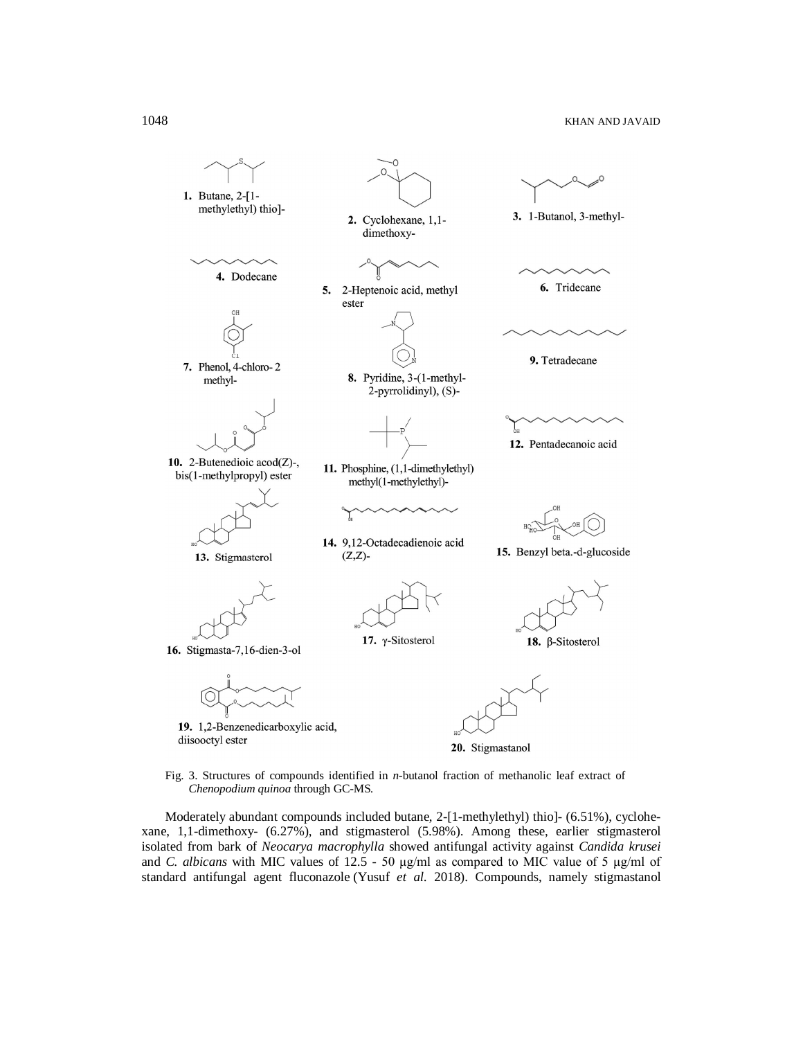

Fig. 3. Structures of compounds identified in *n-*butanol fraction of methanolic leaf extract of *Chenopodium quinoa* through GC-MS*.*

Moderately abundant compounds included butane, 2-[1-methylethyl) thio]- (6.51%), cyclohexane, 1,1-dimethoxy- (6.27%), and stigmasterol (5.98%). Among these, earlier stigmasterol isolated from bark of *Neocarya macrophylla* showed antifungal activity against *Candida krusei*  and *C. albicans* with MIC values of 12.5 - 50 μg/ml as compared to MIC value of 5 μg/ml of standard antifungal agent fluconazole (Yusuf *et al.* 2018). Compounds, namely stigmastanol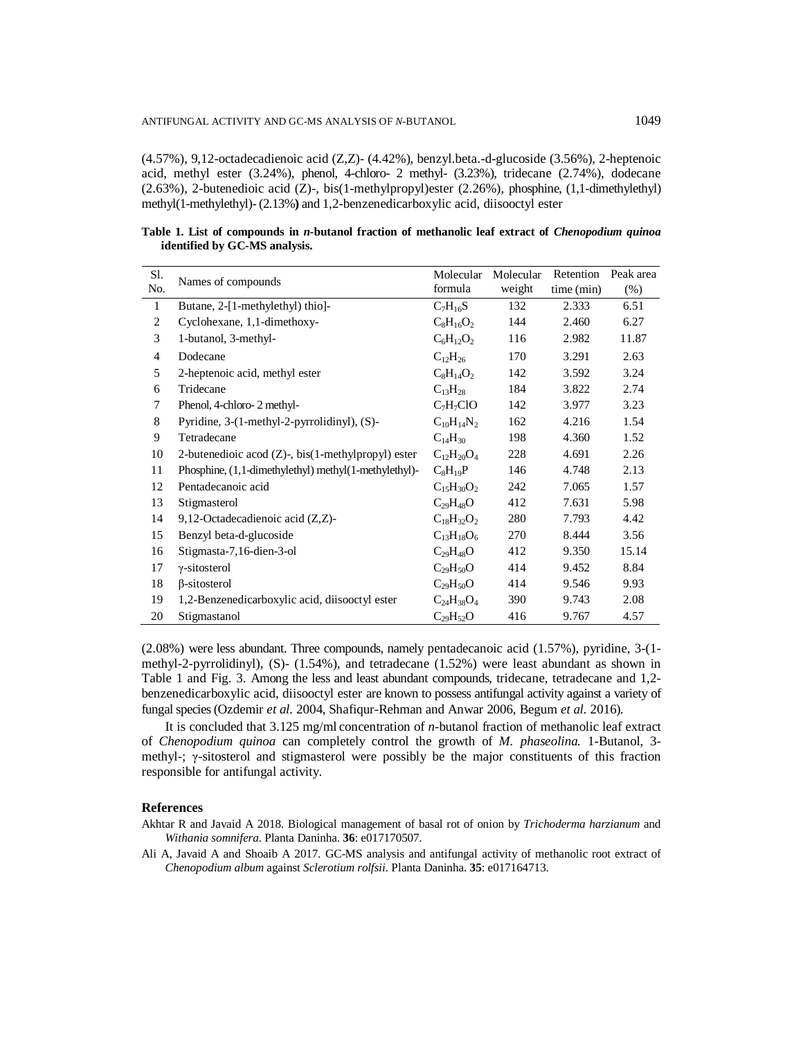(4.57%), 9,12-octadecadienoic acid (Z,Z)- (4.42%), benzyl.beta.-d-glucoside (3.56%), 2-heptenoic acid, methyl ester (3.24%), phenol, 4-chloro- 2 methyl- (3.23%), tridecane (2.74%), dodecane (2.63%), 2-butenedioic acid (Z)-, bis(1-methylpropyl)ester (2.26%), phosphine, (1,1-dimethylethyl) methyl(1-methylethyl)- (2.13%**)** and 1,2-benzenedicarboxylic acid, diisooctyl ester

**Table 1. List of compounds in** *n***-butanol fraction of methanolic leaf extract of** *Chenopodium quinoa* **identified by GC-MS analysis.**

| S1.            | Names of compounds                                         | Molecular         | Molecular | Retention  | Peak area |
|----------------|------------------------------------------------------------|-------------------|-----------|------------|-----------|
| No.            |                                                            | formula           | weight    | time (min) | $(\%)$    |
| $\mathbf{1}$   | Butane, 2-[1-methylethyl) thio]-                           | $C_7H_{16}S$      | 132       | 2.333      | 6.51      |
| $\overline{c}$ | Cyclohexane, 1,1-dimethoxy-                                | $C_8H_{16}O_2$    | 144       | 2.460      | 6.27      |
| 3              | 1-butanol, 3-methyl-                                       | $C_6H_{12}O_2$    | 116       | 2.982      | 11.87     |
| $\overline{4}$ | Dodecane                                                   | $C_{12}H_{26}$    | 170       | 3.291      | 2.63      |
| 5              | 2-heptenoic acid, methyl ester                             | $C_8H_{14}O_2$    | 142       | 3.592      | 3.24      |
| 6              | Tridecane                                                  | $C_{13}H_{28}$    | 184       | 3.822      | 2.74      |
| 7              | Phenol, 4-chloro-2 methyl-                                 | $C_7H_7ClO$       | 142       | 3.977      | 3.23      |
| 8              | Pyridine, 3-(1-methyl-2-pyrrolidinyl), (S)-                | $C_{10}H_{14}N_2$ | 162       | 4.216      | 1.54      |
| 9              | Tetradecane                                                | $C_{14}H_{30}$    | 198       | 4.360      | 1.52      |
| 10             | 2-but energion acod $(Z)$ -, bis $(1$ -methylpropyl) ester | $C_{12}H_{20}O_4$ | 228       | 4.691      | 2.26      |
| 11             | Phosphine, (1,1-dimethylethyl) methyl(1-methylethyl)-      | $C_8H_{19}P$      | 146       | 4.748      | 2.13      |
| 12             | Pentadecanoic acid                                         | $C_{15}H_{30}O_2$ | 242       | 7.065      | 1.57      |
| 13             | Stigmasterol                                               | $C_{29}H_{48}O$   | 412       | 7.631      | 5.98      |
| 14             | 9,12-Octadecadienoic acid (Z,Z)-                           | $C_{18}H_{32}O_2$ | 280       | 7.793      | 4.42      |
| 15             | Benzyl beta-d-glucoside                                    | $C_{13}H_{18}O_6$ | 270       | 8.444      | 3.56      |
| 16             | Stigmasta-7,16-dien-3-ol                                   | $C_{29}H_{48}O$   | 412       | 9.350      | 15.14     |
| 17             | $\gamma$ -sitosterol                                       | $C_{29}H_{50}O$   | 414       | 9.452      | 8.84      |
| 18             | $\beta$ -sitosterol                                        | $C_{29}H_{50}O$   | 414       | 9.546      | 9.93      |
| 19             | 1,2-Benzenedicarboxylic acid, diisooctyl ester             | $C_{24}H_{38}O_4$ | 390       | 9.743      | 2.08      |
| 20             | Stigmastanol                                               | $C_{29}H_{52}O$   | 416       | 9.767      | 4.57      |

(2.08%) were less abundant. Three compounds, namely pentadecanoic acid (1.57%), pyridine, 3-(1 methyl-2-pyrrolidinyl), (S)- (1.54%), and tetradecane (1.52%) were least abundant as shown in Table 1 and Fig. 3. Among the less and least abundant compounds, tridecane, tetradecane and 1,2 benzenedicarboxylic acid, diisooctyl ester are known to possess antifungal activity against a variety of fungal species (Ozdemir *et al.* 2004, Shafiqur-Rehman and Anwar 2006, Begum *et al.* 2016).

It is concluded that 3.125 mg/ml concentration of *n*-butanol fraction of methanolic leaf extract of *Chenopodium quinoa* can completely control the growth of *M. phaseolina.* 1-Butanol, 3 methyl-; γ-sitosterol and stigmasterol were possibly be the major constituents of this fraction responsible for antifungal activity.

### **References**

- Akhtar R and Javaid A 2018. Biological management of basal rot of onion by *Trichoderma harzianum* and *Withania somnifera*. Planta Daninha. **36**: e017170507.
- Ali A, Javaid A and Shoaib A 2017. GC-MS analysis and antifungal activity of methanolic root extract of *Chenopodium album* against *Sclerotium rolfsii*. Planta Daninha. **35**: e017164713.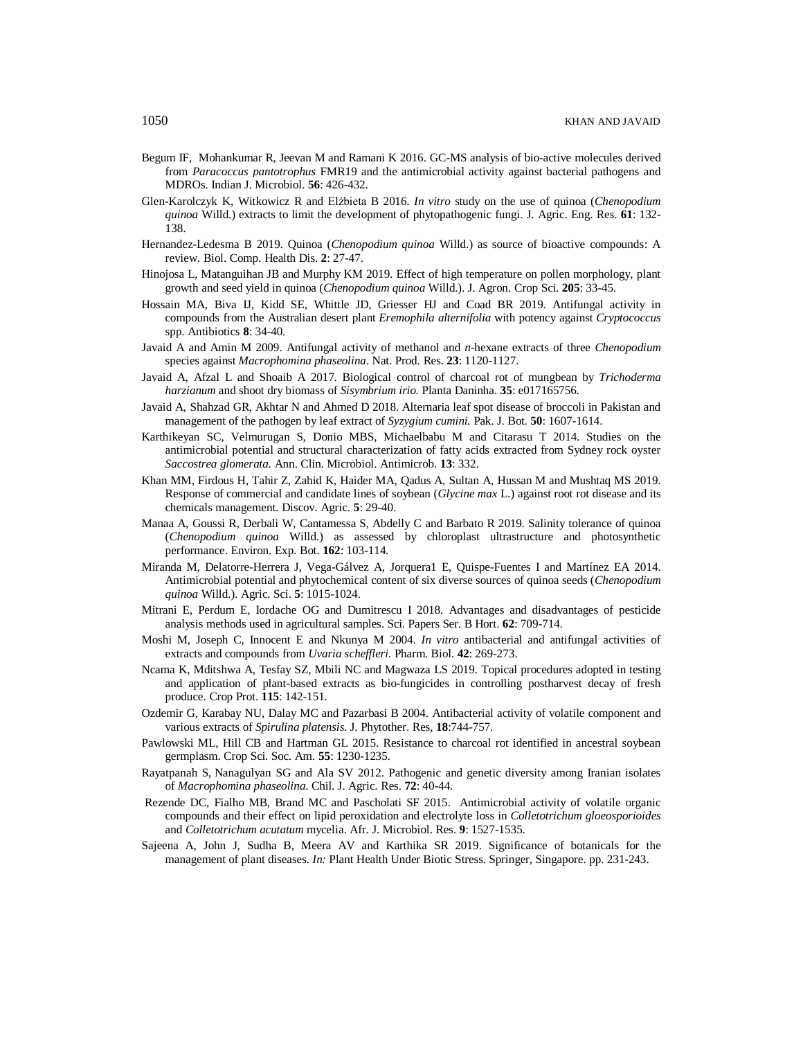- Begum IF, Mohankumar R, Jeevan M and Ramani K 2016. GC-MS analysis of bio-active molecules derived from *Paracoccus pantotrophus* FMR19 and the antimicrobial activity against bacterial pathogens and MDROs. Indian J. Microbiol. **56**: 426-432.
- Glen-Karolczyk K, Witkowicz R and Elżbieta B 2016. *In vitro* study on the use of quinoa (*Chenopodium quinoa* Willd.) extracts to limit the development of phytopathogenic fungi. J. Agric. Eng. Res. **61**: 132- 138.
- Hernandez-Ledesma B 2019. Quinoa (*Chenopodium quinoa* Willd.) as source of bioactive compounds: A review. Biol. Comp. Health Dis. **2**: 27-47.
- Hinojosa L, Matanguihan JB and Murphy KM 2019. Effect of high temperature on pollen morphology, plant growth and seed yield in quinoa (*Chenopodium quinoa* Willd.). J. Agron. Crop Sci. **205**: 33-45.
- Hossain MA, Biva IJ, Kidd SE, Whittle JD, Griesser HJ and Coad BR 2019. Antifungal activity in compounds from the Australian desert plant *Eremophila alternifolia* with potency against *Cryptococcus*  spp. Antibiotics **8**: 34-40.
- Javaid A and Amin M 2009. Antifungal activity of methanol and *n*-hexane extracts of three *Chenopodium* species against *Macrophomina phaseolina*. Nat. Prod. Res. **23**: 1120-1127.
- Javaid A, Afzal L and Shoaib A 2017. Biological control of charcoal rot of mungbean by *Trichoderma harzianum* and shoot dry biomass of *Sisymbrium irio.* Planta Daninha. **35**: e017165756.
- Javaid A, Shahzad GR, Akhtar N and Ahmed D 2018. Alternaria leaf spot disease of broccoli in Pakistan and management of the pathogen by leaf extract of *Syzygium cumini.* Pak. J. Bot. **50**: 1607-1614.
- Karthikeyan SC, Velmurugan S, Donio MBS, Michaelbabu M and Citarasu T 2014. Studies on the antimicrobial potential and structural characterization of fatty acids extracted from Sydney rock oyster *Saccostrea glomerata*. Ann. Clin. Microbiol. Antimicrob. **13**: 332.
- Khan MM, Firdous H, Tahir Z, Zahid K, Haider MA, Qadus A, Sultan A, Hussan M and Mushtaq MS 2019. Response of commercial and candidate lines of soybean (*Glycine max* L.) against root rot disease and its chemicals management. Discov. Agric. **5**: 29-40.
- Manaa A, Goussi R, Derbali W, Cantamessa S, Abdelly C and Barbato R 2019. Salinity tolerance of quinoa (*Chenopodium quinoa* Willd.) as assessed by chloroplast ultrastructure and photosynthetic performance. Environ. Exp. Bot. **162**: 103-114.
- Miranda M, Delatorre-Herrera J, Vega-Gálvez A, Jorquera1 E, Quispe-Fuentes I and Martínez EA 2014. Antimicrobial potential and phytochemical content of six diverse sources of quinoa seeds (*Chenopodium quinoa* Willd.). Agric. Sci. **5**: 1015-1024.
- Mitrani E, Perdum E, Iordache OG and Dumitrescu I 2018. Advantages and disadvantages of pesticide analysis methods used in agricultural samples. Sci. Papers Ser. B Hort. **62**: 709-714.
- Moshi M, Joseph C, Innocent E and Nkunya M 2004. *In vitro* antibacterial and antifungal activities of extracts and compounds from *Uvaria scheffleri*. Pharm. Biol. **42**: 269-273.
- Ncama K, Mditshwa A, Tesfay SZ, Mbili NC and Magwaza LS 2019. Topical procedures adopted in testing and application of plant-based extracts as bio-fungicides in controlling postharvest decay of fresh produce. Crop Prot. **115**: 142-151.
- Ozdemir G, Karabay NU, Dalay MC and Pazarbasi B 2004. Antibacterial activity of volatile component and various extracts of *Spirulina platensis*. J. Phytother. Res, **18**:744-757.
- Pawlowski ML, Hill CB and Hartman GL 2015. Resistance to charcoal rot identified in ancestral soybean germplasm. Crop Sci. Soc. Am. **55**: 1230-1235.
- Rayatpanah S, Nanagulyan SG and Ala SV 2012. Pathogenic and genetic diversity among Iranian isolates of *Macrophomina phaseolina*. Chil. J. Agric. Res. **72**: 40-44.
- Rezende DC, Fialho MB, Brand MC and Pascholati SF 2015. Antimicrobial activity of volatile organic compounds and their effect on lipid peroxidation and electrolyte loss in *Colletotrichum gloeosporioides* and *Colletotrichum acutatum* mycelia. Afr. J. Microbiol. Res. **9**: 1527-1535.
- Sajeena A, John J, Sudha B, Meera AV and Karthika SR 2019. Significance of botanicals for the management of plant diseases. *In:* Plant Health Under Biotic Stress. Springer, Singapore. pp. 231-243.